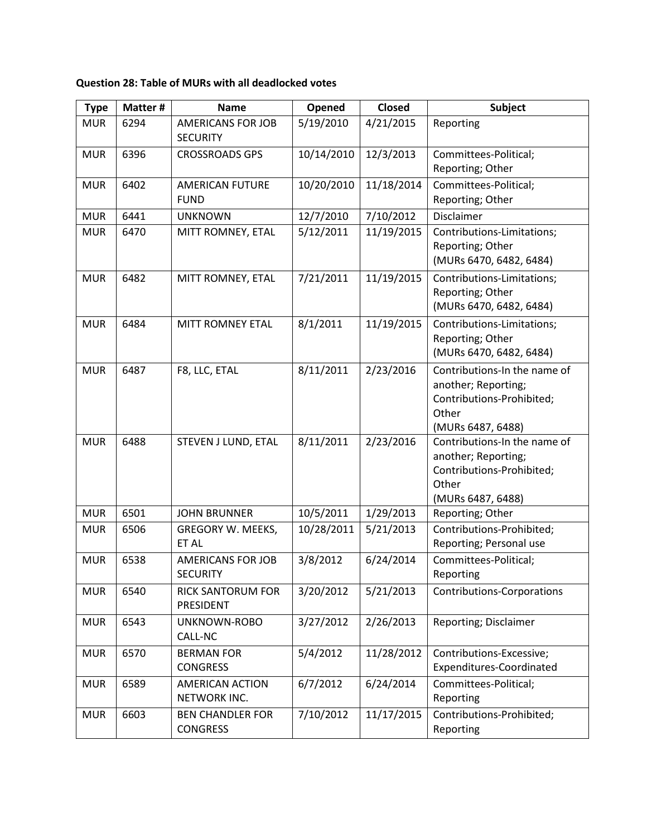**Question 28: Table of MURs with all deadlocked votes**

| <b>Type</b> | Matter # | <b>Name</b>                                 | Opened     | <b>Closed</b> | <b>Subject</b>                                                                                                 |
|-------------|----------|---------------------------------------------|------------|---------------|----------------------------------------------------------------------------------------------------------------|
| <b>MUR</b>  | 6294     | <b>AMERICANS FOR JOB</b><br><b>SECURITY</b> | 5/19/2010  | 4/21/2015     | Reporting                                                                                                      |
| <b>MUR</b>  | 6396     | <b>CROSSROADS GPS</b>                       | 10/14/2010 | 12/3/2013     | Committees-Political;<br>Reporting; Other                                                                      |
| <b>MUR</b>  | 6402     | <b>AMERICAN FUTURE</b><br><b>FUND</b>       | 10/20/2010 | 11/18/2014    | Committees-Political;<br>Reporting; Other                                                                      |
| <b>MUR</b>  | 6441     | <b>UNKNOWN</b>                              | 12/7/2010  | 7/10/2012     | Disclaimer                                                                                                     |
| <b>MUR</b>  | 6470     | MITT ROMNEY, ETAL                           | 5/12/2011  | 11/19/2015    | Contributions-Limitations;<br>Reporting; Other<br>(MURs 6470, 6482, 6484)                                      |
| <b>MUR</b>  | 6482     | MITT ROMNEY, ETAL                           | 7/21/2011  | 11/19/2015    | Contributions-Limitations;<br>Reporting; Other<br>(MURs 6470, 6482, 6484)                                      |
| <b>MUR</b>  | 6484     | <b>MITT ROMNEY ETAL</b>                     | 8/1/2011   | 11/19/2015    | Contributions-Limitations;<br>Reporting; Other<br>(MURs 6470, 6482, 6484)                                      |
| <b>MUR</b>  | 6487     | F8, LLC, ETAL                               | 8/11/2011  | 2/23/2016     | Contributions-In the name of<br>another; Reporting;<br>Contributions-Prohibited;<br>Other<br>(MURs 6487, 6488) |
| <b>MUR</b>  | 6488     | STEVEN J LUND, ETAL                         | 8/11/2011  | 2/23/2016     | Contributions-In the name of<br>another; Reporting;<br>Contributions-Prohibited;<br>Other<br>(MURs 6487, 6488) |
| <b>MUR</b>  | 6501     | <b>JOHN BRUNNER</b>                         | 10/5/2011  | 1/29/2013     | Reporting; Other                                                                                               |
| <b>MUR</b>  | 6506     | <b>GREGORY W. MEEKS,</b><br>ET AL           | 10/28/2011 | 5/21/2013     | Contributions-Prohibited;<br>Reporting; Personal use                                                           |
| <b>MUR</b>  | 6538     | <b>AMERICANS FOR JOB</b><br><b>SECURITY</b> | 3/8/2012   | 6/24/2014     | Committees-Political;<br>Reporting                                                                             |
| <b>MUR</b>  | 6540     | RICK SANTORUM FOR<br>PRESIDENT              | 3/20/2012  | 5/21/2013     | <b>Contributions-Corporations</b>                                                                              |
| <b>MUR</b>  | 6543     | UNKNOWN-ROBO<br>CALL-NC                     | 3/27/2012  | 2/26/2013     | Reporting; Disclaimer                                                                                          |
| <b>MUR</b>  | 6570     | <b>BERMAN FOR</b><br><b>CONGRESS</b>        | 5/4/2012   | 11/28/2012    | Contributions-Excessive;<br>Expenditures-Coordinated                                                           |
| <b>MUR</b>  | 6589     | <b>AMERICAN ACTION</b><br>NETWORK INC.      | 6/7/2012   | 6/24/2014     | Committees-Political;<br>Reporting                                                                             |
| <b>MUR</b>  | 6603     | <b>BEN CHANDLER FOR</b><br><b>CONGRESS</b>  | 7/10/2012  | 11/17/2015    | Contributions-Prohibited;<br>Reporting                                                                         |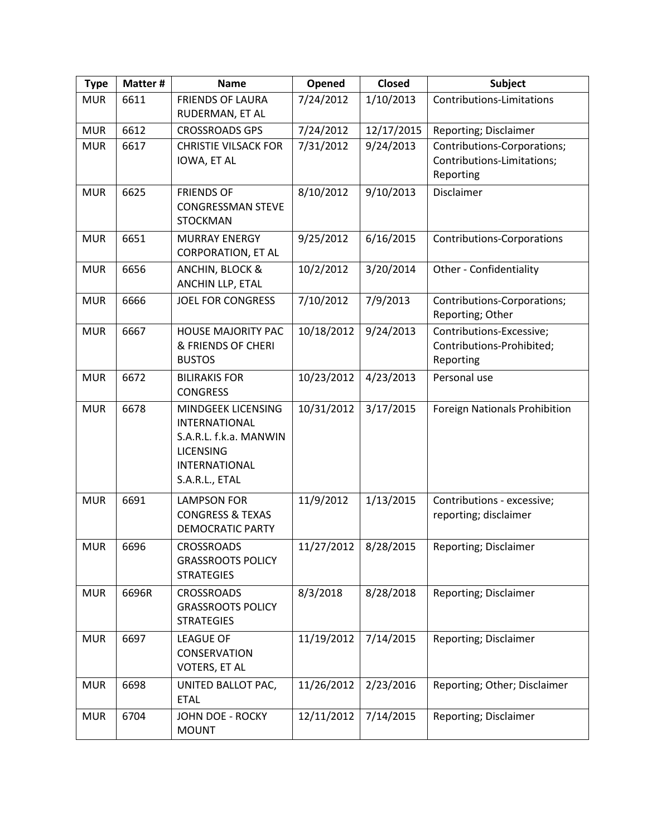| <b>Type</b> | Matter # | <b>Name</b>                                                                                                                        | Opened     | Closed     | <b>Subject</b>                                                         |
|-------------|----------|------------------------------------------------------------------------------------------------------------------------------------|------------|------------|------------------------------------------------------------------------|
| <b>MUR</b>  | 6611     | <b>FRIENDS OF LAURA</b><br>RUDERMAN, ET AL                                                                                         | 7/24/2012  | 1/10/2013  | Contributions-Limitations                                              |
| <b>MUR</b>  | 6612     | <b>CROSSROADS GPS</b>                                                                                                              | 7/24/2012  | 12/17/2015 | Reporting; Disclaimer                                                  |
| <b>MUR</b>  | 6617     | <b>CHRISTIE VILSACK FOR</b><br>IOWA, ET AL                                                                                         | 7/31/2012  | 9/24/2013  | Contributions-Corporations;<br>Contributions-Limitations;<br>Reporting |
| <b>MUR</b>  | 6625     | <b>FRIENDS OF</b><br><b>CONGRESSMAN STEVE</b><br><b>STOCKMAN</b>                                                                   | 8/10/2012  | 9/10/2013  | Disclaimer                                                             |
| <b>MUR</b>  | 6651     | <b>MURRAY ENERGY</b><br><b>CORPORATION, ET AL</b>                                                                                  | 9/25/2012  | 6/16/2015  | <b>Contributions-Corporations</b>                                      |
| <b>MUR</b>  | 6656     | ANCHIN, BLOCK &<br>ANCHIN LLP, ETAL                                                                                                | 10/2/2012  | 3/20/2014  | Other - Confidentiality                                                |
| <b>MUR</b>  | 6666     | <b>JOEL FOR CONGRESS</b>                                                                                                           | 7/10/2012  | 7/9/2013   | Contributions-Corporations;<br>Reporting; Other                        |
| <b>MUR</b>  | 6667     | <b>HOUSE MAJORITY PAC</b><br>& FRIENDS OF CHERI<br><b>BUSTOS</b>                                                                   | 10/18/2012 | 9/24/2013  | Contributions-Excessive;<br>Contributions-Prohibited;<br>Reporting     |
| <b>MUR</b>  | 6672     | <b>BILIRAKIS FOR</b><br><b>CONGRESS</b>                                                                                            | 10/23/2012 | 4/23/2013  | Personal use                                                           |
| <b>MUR</b>  | 6678     | MINDGEEK LICENSING<br><b>INTERNATIONAL</b><br>S.A.R.L. f.k.a. MANWIN<br><b>LICENSING</b><br><b>INTERNATIONAL</b><br>S.A.R.L., ETAL | 10/31/2012 | 3/17/2015  | <b>Foreign Nationals Prohibition</b>                                   |
| <b>MUR</b>  | 6691     | <b>LAMPSON FOR</b><br><b>CONGRESS &amp; TEXAS</b><br><b>DEMOCRATIC PARTY</b>                                                       | 11/9/2012  | 1/13/2015  | Contributions - excessive;<br>reporting; disclaimer                    |
| <b>MUR</b>  | 6696     | <b>CROSSROADS</b><br><b>GRASSROOTS POLICY</b><br><b>STRATEGIES</b>                                                                 | 11/27/2012 | 8/28/2015  | Reporting; Disclaimer                                                  |
| <b>MUR</b>  | 6696R    | <b>CROSSROADS</b><br><b>GRASSROOTS POLICY</b><br><b>STRATEGIES</b>                                                                 | 8/3/2018   | 8/28/2018  | Reporting; Disclaimer                                                  |
| <b>MUR</b>  | 6697     | <b>LEAGUE OF</b><br>CONSERVATION<br><b>VOTERS, ET AL</b>                                                                           | 11/19/2012 | 7/14/2015  | Reporting; Disclaimer                                                  |
| <b>MUR</b>  | 6698     | UNITED BALLOT PAC,<br><b>ETAL</b>                                                                                                  | 11/26/2012 | 2/23/2016  | Reporting; Other; Disclaimer                                           |
| <b>MUR</b>  | 6704     | <b>JOHN DOE - ROCKY</b><br><b>MOUNT</b>                                                                                            | 12/11/2012 | 7/14/2015  | Reporting; Disclaimer                                                  |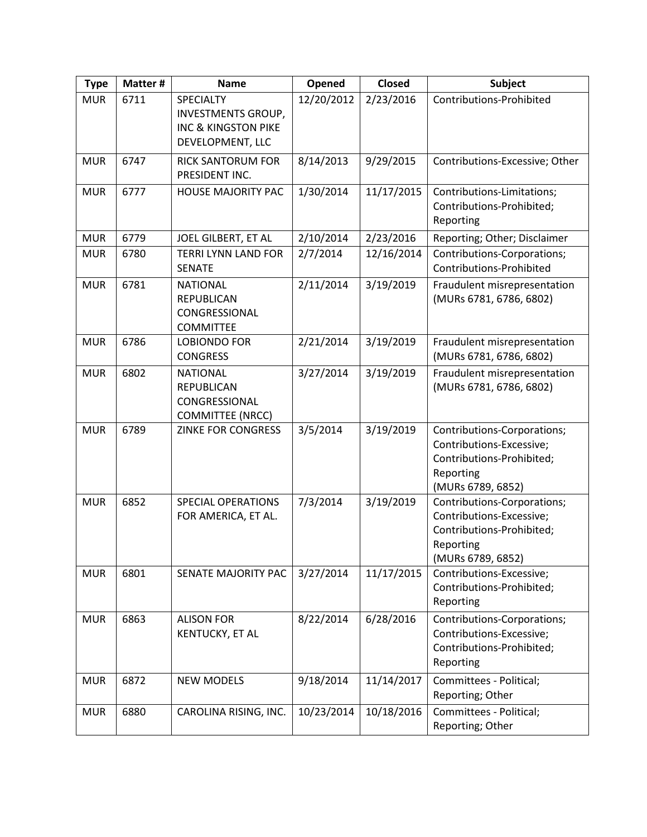| <b>Type</b> | Matter # | <b>Name</b>                                                                                  | Opened     | Closed     | <b>Subject</b>                                                                                                         |
|-------------|----------|----------------------------------------------------------------------------------------------|------------|------------|------------------------------------------------------------------------------------------------------------------------|
| <b>MUR</b>  | 6711     | SPECIALTY<br><b>INVESTMENTS GROUP,</b><br><b>INC &amp; KINGSTON PIKE</b><br>DEVELOPMENT, LLC | 12/20/2012 | 2/23/2016  | Contributions-Prohibited                                                                                               |
| <b>MUR</b>  | 6747     | <b>RICK SANTORUM FOR</b><br>PRESIDENT INC.                                                   | 8/14/2013  | 9/29/2015  | Contributions-Excessive; Other                                                                                         |
| <b>MUR</b>  | 6777     | <b>HOUSE MAJORITY PAC</b>                                                                    | 1/30/2014  | 11/17/2015 | Contributions-Limitations;<br>Contributions-Prohibited;<br>Reporting                                                   |
| <b>MUR</b>  | 6779     | JOEL GILBERT, ET AL                                                                          | 2/10/2014  | 2/23/2016  | Reporting; Other; Disclaimer                                                                                           |
| <b>MUR</b>  | 6780     | <b>TERRI LYNN LAND FOR</b><br><b>SENATE</b>                                                  | 2/7/2014   | 12/16/2014 | Contributions-Corporations;<br>Contributions-Prohibited                                                                |
| <b>MUR</b>  | 6781     | <b>NATIONAL</b><br><b>REPUBLICAN</b><br>CONGRESSIONAL<br><b>COMMITTEE</b>                    | 2/11/2014  | 3/19/2019  | Fraudulent misrepresentation<br>(MURs 6781, 6786, 6802)                                                                |
| <b>MUR</b>  | 6786     | <b>LOBIONDO FOR</b><br><b>CONGRESS</b>                                                       | 2/21/2014  | 3/19/2019  | Fraudulent misrepresentation<br>(MURs 6781, 6786, 6802)                                                                |
| <b>MUR</b>  | 6802     | <b>NATIONAL</b><br><b>REPUBLICAN</b><br>CONGRESSIONAL<br><b>COMMITTEE (NRCC)</b>             | 3/27/2014  | 3/19/2019  | Fraudulent misrepresentation<br>(MURs 6781, 6786, 6802)                                                                |
| <b>MUR</b>  | 6789     | <b>ZINKE FOR CONGRESS</b>                                                                    | 3/5/2014   | 3/19/2019  | Contributions-Corporations;<br>Contributions-Excessive;<br>Contributions-Prohibited;<br>Reporting<br>(MURs 6789, 6852) |
| <b>MUR</b>  | 6852     | <b>SPECIAL OPERATIONS</b><br>FOR AMERICA, ET AL.                                             | 7/3/2014   | 3/19/2019  | Contributions-Corporations;<br>Contributions-Excessive;<br>Contributions-Prohibited;<br>Reporting<br>(MURs 6789, 6852) |
| <b>MUR</b>  | 6801     | SENATE MAJORITY PAC                                                                          | 3/27/2014  | 11/17/2015 | Contributions-Excessive;<br>Contributions-Prohibited;<br>Reporting                                                     |
| <b>MUR</b>  | 6863     | <b>ALISON FOR</b><br>KENTUCKY, ET AL                                                         | 8/22/2014  | 6/28/2016  | Contributions-Corporations;<br>Contributions-Excessive;<br>Contributions-Prohibited;<br>Reporting                      |
| <b>MUR</b>  | 6872     | <b>NEW MODELS</b>                                                                            | 9/18/2014  | 11/14/2017 | Committees - Political;<br>Reporting; Other                                                                            |
| <b>MUR</b>  | 6880     | CAROLINA RISING, INC.                                                                        | 10/23/2014 | 10/18/2016 | Committees - Political;<br>Reporting; Other                                                                            |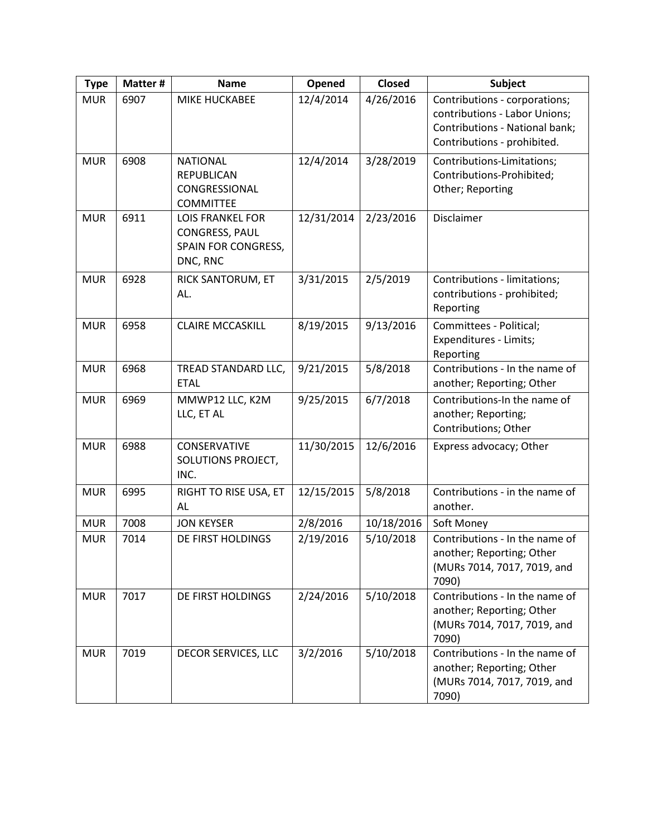| <b>Type</b> | Matter # | <b>Name</b>                                                                         | Opened     | <b>Closed</b> | Subject                                                                                                                         |
|-------------|----------|-------------------------------------------------------------------------------------|------------|---------------|---------------------------------------------------------------------------------------------------------------------------------|
| <b>MUR</b>  | 6907     | <b>MIKE HUCKABEE</b>                                                                | 12/4/2014  | 4/26/2016     | Contributions - corporations;<br>contributions - Labor Unions;<br>Contributions - National bank;<br>Contributions - prohibited. |
| <b>MUR</b>  | 6908     | <b>NATIONAL</b><br><b>REPUBLICAN</b><br>CONGRESSIONAL<br><b>COMMITTEE</b>           | 12/4/2014  | 3/28/2019     | Contributions-Limitations;<br>Contributions-Prohibited;<br>Other; Reporting                                                     |
| <b>MUR</b>  | 6911     | <b>LOIS FRANKEL FOR</b><br><b>CONGRESS, PAUL</b><br>SPAIN FOR CONGRESS,<br>DNC, RNC | 12/31/2014 | 2/23/2016     | Disclaimer                                                                                                                      |
| <b>MUR</b>  | 6928     | RICK SANTORUM, ET<br>AL.                                                            | 3/31/2015  | 2/5/2019      | Contributions - limitations;<br>contributions - prohibited;<br>Reporting                                                        |
| <b>MUR</b>  | 6958     | <b>CLAIRE MCCASKILL</b>                                                             | 8/19/2015  | 9/13/2016     | Committees - Political;<br>Expenditures - Limits;<br>Reporting                                                                  |
| <b>MUR</b>  | 6968     | TREAD STANDARD LLC,<br><b>ETAL</b>                                                  | 9/21/2015  | 5/8/2018      | Contributions - In the name of<br>another; Reporting; Other                                                                     |
| <b>MUR</b>  | 6969     | MMWP12 LLC, K2M<br>LLC, ET AL                                                       | 9/25/2015  | 6/7/2018      | Contributions-In the name of<br>another; Reporting;<br>Contributions; Other                                                     |
| <b>MUR</b>  | 6988     | CONSERVATIVE<br>SOLUTIONS PROJECT,<br>INC.                                          | 11/30/2015 | 12/6/2016     | Express advocacy; Other                                                                                                         |
| <b>MUR</b>  | 6995     | RIGHT TO RISE USA, ET<br>AL                                                         | 12/15/2015 | 5/8/2018      | Contributions - in the name of<br>another.                                                                                      |
| <b>MUR</b>  | 7008     | <b>JON KEYSER</b>                                                                   | 2/8/2016   | 10/18/2016    | Soft Money                                                                                                                      |
| <b>MUR</b>  | 7014     | DE FIRST HOLDINGS                                                                   | 2/19/2016  | 5/10/2018     | Contributions - In the name of<br>another; Reporting; Other<br>(MURs 7014, 7017, 7019, and<br>7090)                             |
| <b>MUR</b>  | 7017     | DE FIRST HOLDINGS                                                                   | 2/24/2016  | 5/10/2018     | Contributions - In the name of<br>another; Reporting; Other<br>(MURs 7014, 7017, 7019, and<br>7090)                             |
| <b>MUR</b>  | 7019     | DECOR SERVICES, LLC                                                                 | 3/2/2016   | 5/10/2018     | Contributions - In the name of<br>another; Reporting; Other<br>(MURs 7014, 7017, 7019, and<br>7090)                             |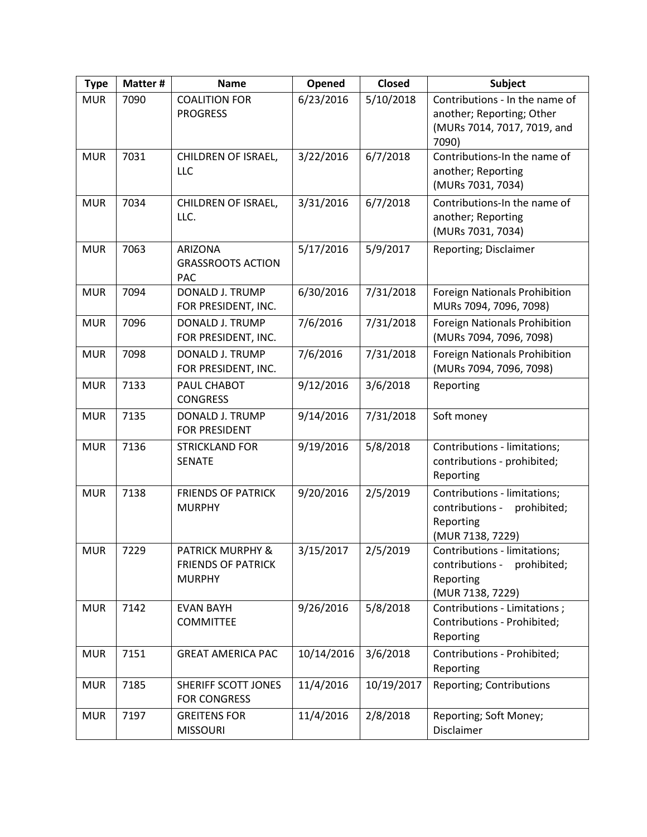| <b>Type</b> | Matter # | <b>Name</b>                                                               | Opened     | <b>Closed</b> | Subject                                                                                             |
|-------------|----------|---------------------------------------------------------------------------|------------|---------------|-----------------------------------------------------------------------------------------------------|
| <b>MUR</b>  | 7090     | <b>COALITION FOR</b><br><b>PROGRESS</b>                                   | 6/23/2016  | 5/10/2018     | Contributions - In the name of<br>another; Reporting; Other<br>(MURs 7014, 7017, 7019, and<br>7090) |
| <b>MUR</b>  | 7031     | CHILDREN OF ISRAEL,<br>LLC                                                | 3/22/2016  | 6/7/2018      | Contributions-In the name of<br>another; Reporting<br>(MURs 7031, 7034)                             |
| <b>MUR</b>  | 7034     | CHILDREN OF ISRAEL,<br>LLC.                                               | 3/31/2016  | 6/7/2018      | Contributions-In the name of<br>another; Reporting<br>(MURs 7031, 7034)                             |
| <b>MUR</b>  | 7063     | <b>ARIZONA</b><br><b>GRASSROOTS ACTION</b><br><b>PAC</b>                  | 5/17/2016  | 5/9/2017      | Reporting; Disclaimer                                                                               |
| <b>MUR</b>  | 7094     | <b>DONALD J. TRUMP</b><br>FOR PRESIDENT, INC.                             | 6/30/2016  | 7/31/2018     | Foreign Nationals Prohibition<br>MURs 7094, 7096, 7098)                                             |
| <b>MUR</b>  | 7096     | <b>DONALD J. TRUMP</b><br>FOR PRESIDENT, INC.                             | 7/6/2016   | 7/31/2018     | <b>Foreign Nationals Prohibition</b><br>(MURs 7094, 7096, 7098)                                     |
| <b>MUR</b>  | 7098     | <b>DONALD J. TRUMP</b><br>FOR PRESIDENT, INC.                             | 7/6/2016   | 7/31/2018     | <b>Foreign Nationals Prohibition</b><br>(MURs 7094, 7096, 7098)                                     |
| <b>MUR</b>  | 7133     | PAUL CHABOT<br><b>CONGRESS</b>                                            | 9/12/2016  | 3/6/2018      | Reporting                                                                                           |
| <b>MUR</b>  | 7135     | DONALD J. TRUMP<br>FOR PRESIDENT                                          | 9/14/2016  | 7/31/2018     | Soft money                                                                                          |
| <b>MUR</b>  | 7136     | <b>STRICKLAND FOR</b><br><b>SENATE</b>                                    | 9/19/2016  | 5/8/2018      | Contributions - limitations;<br>contributions - prohibited;<br>Reporting                            |
| <b>MUR</b>  | 7138     | <b>FRIENDS OF PATRICK</b><br><b>MURPHY</b>                                | 9/20/2016  | 2/5/2019      | Contributions - limitations;<br>contributions -<br>prohibited;<br>Reporting<br>(MUR 7138, 7229)     |
| <b>MUR</b>  | 7229     | <b>PATRICK MURPHY &amp;</b><br><b>FRIENDS OF PATRICK</b><br><b>MURPHY</b> | 3/15/2017  | 2/5/2019      | Contributions - limitations;<br>contributions -<br>prohibited;<br>Reporting<br>(MUR 7138, 7229)     |
| <b>MUR</b>  | 7142     | <b>EVAN BAYH</b><br><b>COMMITTEE</b>                                      | 9/26/2016  | 5/8/2018      | Contributions - Limitations;<br>Contributions - Prohibited;<br>Reporting                            |
| <b>MUR</b>  | 7151     | <b>GREAT AMERICA PAC</b>                                                  | 10/14/2016 | 3/6/2018      | Contributions - Prohibited;<br>Reporting                                                            |
| <b>MUR</b>  | 7185     | SHERIFF SCOTT JONES<br><b>FOR CONGRESS</b>                                | 11/4/2016  | 10/19/2017    | Reporting; Contributions                                                                            |
| <b>MUR</b>  | 7197     | <b>GREITENS FOR</b><br><b>MISSOURI</b>                                    | 11/4/2016  | 2/8/2018      | Reporting; Soft Money;<br>Disclaimer                                                                |